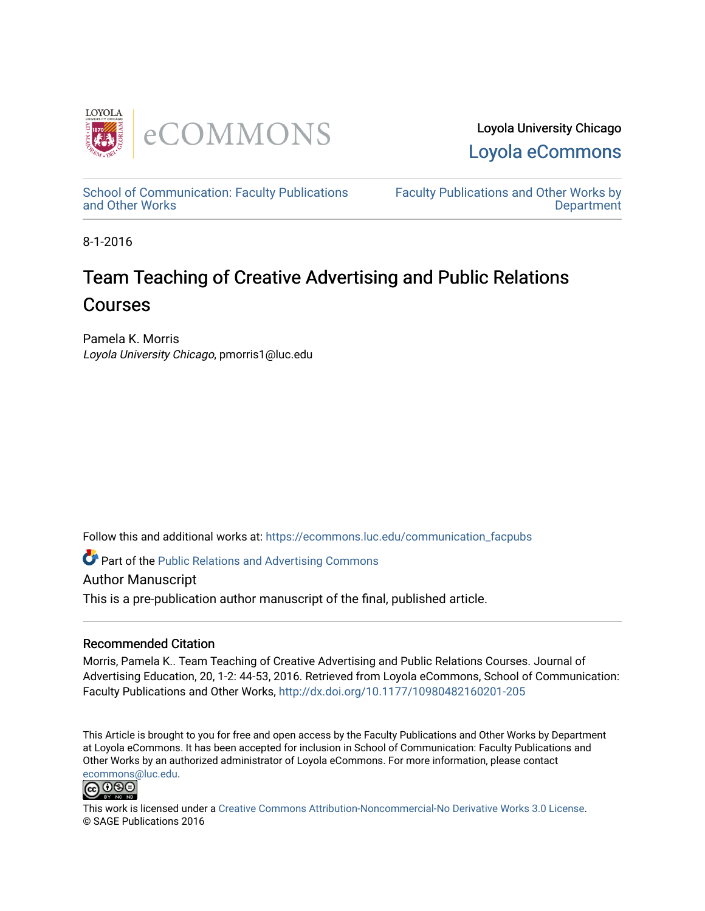

Loyola University Chicago [Loyola eCommons](https://ecommons.luc.edu/) 

[School of Communication: Faculty Publications](https://ecommons.luc.edu/communication_facpubs)  [and Other Works](https://ecommons.luc.edu/communication_facpubs)

[Faculty Publications and Other Works by](https://ecommons.luc.edu/faculty)  **Department** 

8-1-2016

# Team Teaching of Creative Advertising and Public Relations Courses

Pamela K. Morris Loyola University Chicago, pmorris1@luc.edu

Follow this and additional works at: [https://ecommons.luc.edu/communication\\_facpubs](https://ecommons.luc.edu/communication_facpubs?utm_source=ecommons.luc.edu%2Fcommunication_facpubs%2F26&utm_medium=PDF&utm_campaign=PDFCoverPages)

Part of the [Public Relations and Advertising Commons](http://network.bepress.com/hgg/discipline/336?utm_source=ecommons.luc.edu%2Fcommunication_facpubs%2F26&utm_medium=PDF&utm_campaign=PDFCoverPages) 

Author Manuscript

This is a pre-publication author manuscript of the final, published article.

## Recommended Citation

Morris, Pamela K.. Team Teaching of Creative Advertising and Public Relations Courses. Journal of Advertising Education, 20, 1-2: 44-53, 2016. Retrieved from Loyola eCommons, School of Communication: Faculty Publications and Other Works,<http://dx.doi.org/10.1177/10980482160201-205>

This Article is brought to you for free and open access by the Faculty Publications and Other Works by Department at Loyola eCommons. It has been accepted for inclusion in School of Communication: Faculty Publications and Other Works by an authorized administrator of Loyola eCommons. For more information, please contact [ecommons@luc.edu](mailto:ecommons@luc.edu).



This work is licensed under a [Creative Commons Attribution-Noncommercial-No Derivative Works 3.0 License.](https://creativecommons.org/licenses/by-nc-nd/3.0/) © SAGE Publications 2016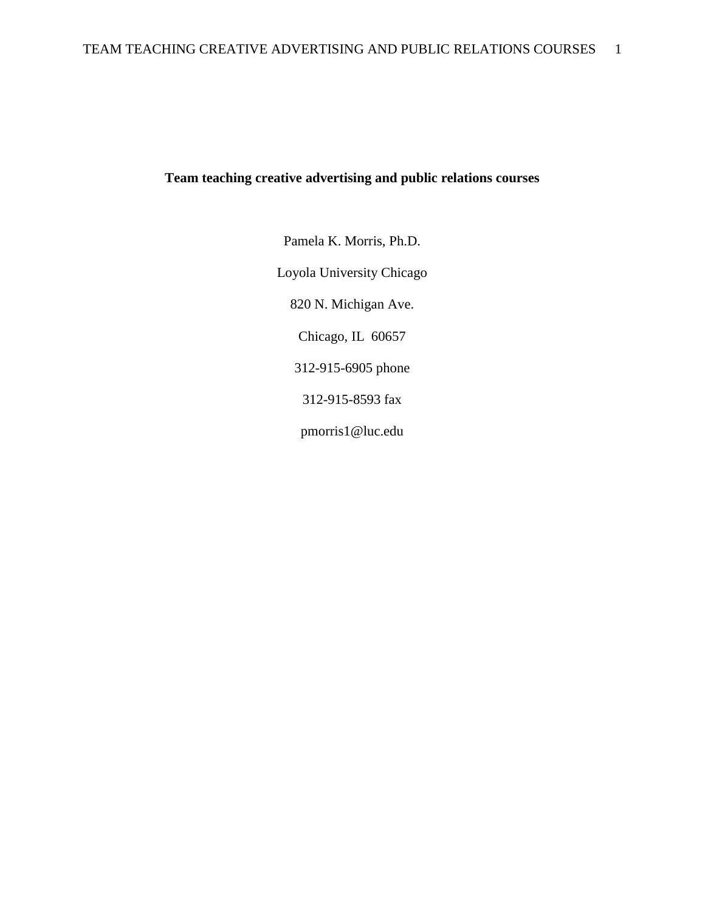## **Team teaching creative advertising and public relations courses**

Pamela K. Morris, Ph.D. Loyola University Chicago 820 N. Michigan Ave. Chicago, IL 60657 312-915-6905 phone 312-915-8593 fax pmorris1@luc.edu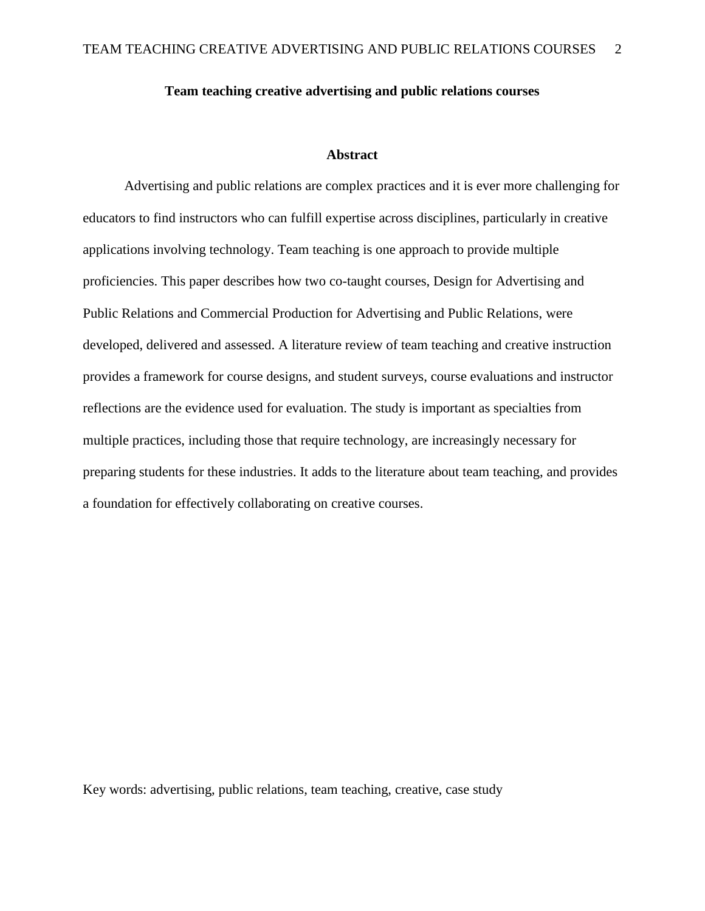## **Team teaching creative advertising and public relations courses**

## **Abstract**

Advertising and public relations are complex practices and it is ever more challenging for educators to find instructors who can fulfill expertise across disciplines, particularly in creative applications involving technology. Team teaching is one approach to provide multiple proficiencies. This paper describes how two co-taught courses, Design for Advertising and Public Relations and Commercial Production for Advertising and Public Relations, were developed, delivered and assessed. A literature review of team teaching and creative instruction provides a framework for course designs, and student surveys, course evaluations and instructor reflections are the evidence used for evaluation. The study is important as specialties from multiple practices, including those that require technology, are increasingly necessary for preparing students for these industries. It adds to the literature about team teaching, and provides a foundation for effectively collaborating on creative courses.

Key words: advertising, public relations, team teaching, creative, case study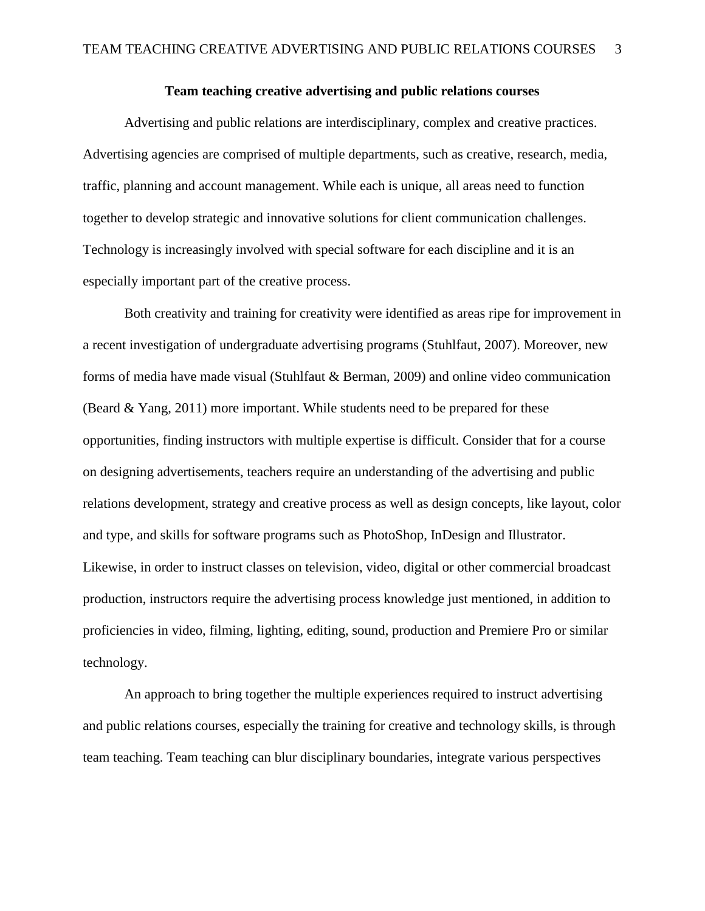## **Team teaching creative advertising and public relations courses**

Advertising and public relations are interdisciplinary, complex and creative practices. Advertising agencies are comprised of multiple departments, such as creative, research, media, traffic, planning and account management. While each is unique, all areas need to function together to develop strategic and innovative solutions for client communication challenges. Technology is increasingly involved with special software for each discipline and it is an especially important part of the creative process.

Both creativity and training for creativity were identified as areas ripe for improvement in a recent investigation of undergraduate advertising programs (Stuhlfaut, 2007). Moreover, new forms of media have made visual (Stuhlfaut & Berman, 2009) and online video communication (Beard & Yang, 2011) more important. While students need to be prepared for these opportunities, finding instructors with multiple expertise is difficult. Consider that for a course on designing advertisements, teachers require an understanding of the advertising and public relations development, strategy and creative process as well as design concepts, like layout, color and type, and skills for software programs such as PhotoShop, InDesign and Illustrator. Likewise, in order to instruct classes on television, video, digital or other commercial broadcast production, instructors require the advertising process knowledge just mentioned, in addition to proficiencies in video, filming, lighting, editing, sound, production and Premiere Pro or similar technology.

An approach to bring together the multiple experiences required to instruct advertising and public relations courses, especially the training for creative and technology skills, is through team teaching. Team teaching can blur disciplinary boundaries, integrate various perspectives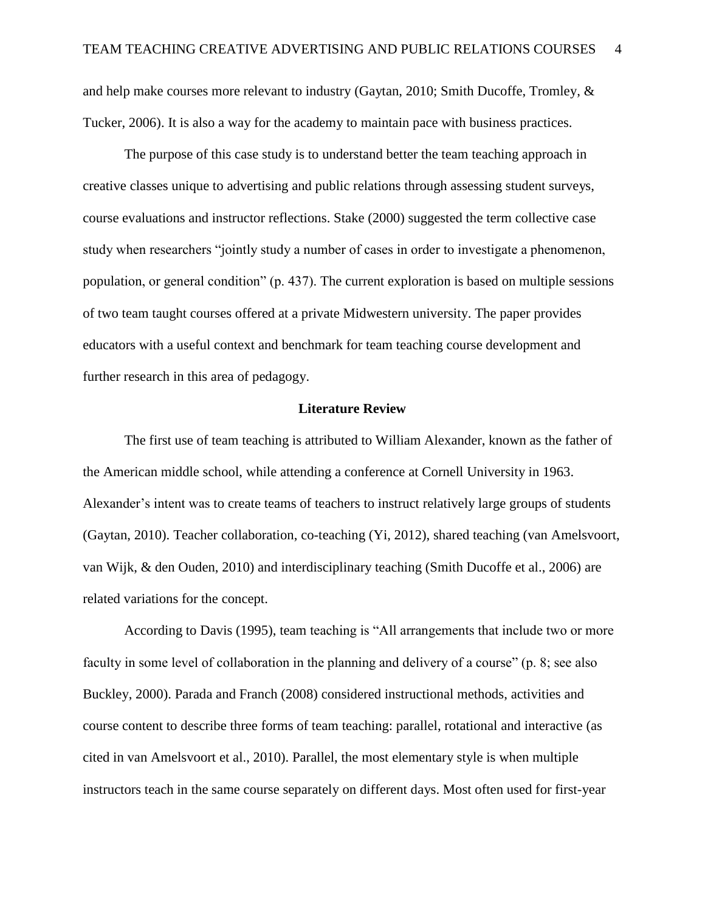and help make courses more relevant to industry (Gaytan, 2010; Smith Ducoffe, Tromley, & Tucker, 2006). It is also a way for the academy to maintain pace with business practices.

The purpose of this case study is to understand better the team teaching approach in creative classes unique to advertising and public relations through assessing student surveys, course evaluations and instructor reflections. Stake (2000) suggested the term collective case study when researchers "jointly study a number of cases in order to investigate a phenomenon, population, or general condition" (p. 437). The current exploration is based on multiple sessions of two team taught courses offered at a private Midwestern university. The paper provides educators with a useful context and benchmark for team teaching course development and further research in this area of pedagogy.

#### **Literature Review**

The first use of team teaching is attributed to William Alexander, known as the father of the American middle school, while attending a conference at Cornell University in 1963. Alexander's intent was to create teams of teachers to instruct relatively large groups of students (Gaytan, 2010). Teacher collaboration, co-teaching (Yi, 2012), shared teaching (van Amelsvoort, van Wijk, & den Ouden, 2010) and interdisciplinary teaching (Smith Ducoffe et al., 2006) are related variations for the concept.

According to Davis (1995), team teaching is "All arrangements that include two or more faculty in some level of collaboration in the planning and delivery of a course" (p. 8; see also Buckley, 2000). Parada and Franch (2008) considered instructional methods, activities and course content to describe three forms of team teaching: parallel, rotational and interactive (as cited in van Amelsvoort et al., 2010). Parallel, the most elementary style is when multiple instructors teach in the same course separately on different days. Most often used for first-year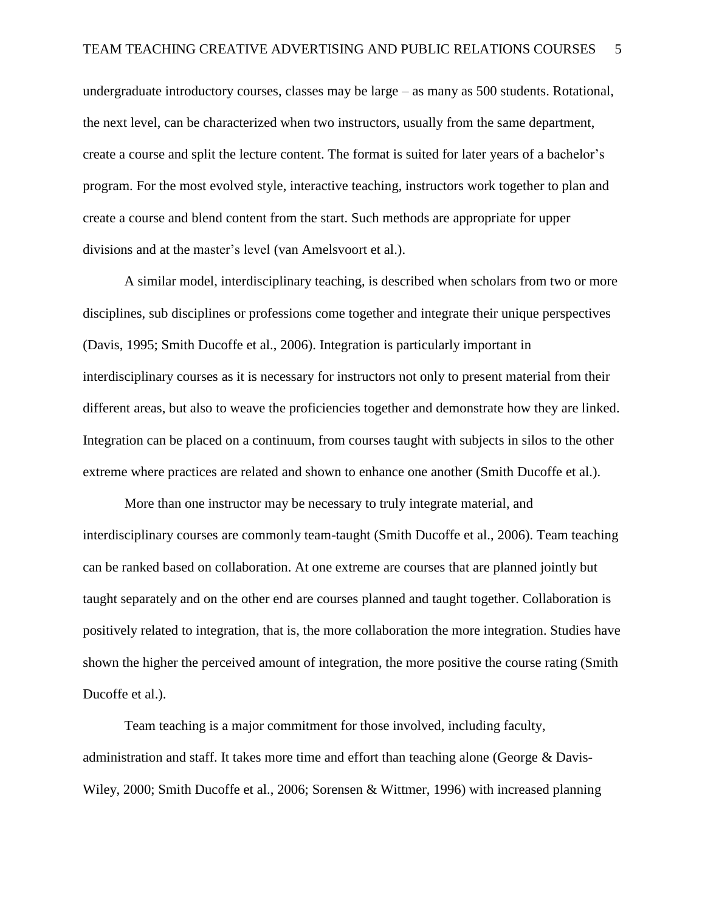undergraduate introductory courses, classes may be large – as many as 500 students. Rotational, the next level, can be characterized when two instructors, usually from the same department, create a course and split the lecture content. The format is suited for later years of a bachelor's program. For the most evolved style, interactive teaching, instructors work together to plan and create a course and blend content from the start. Such methods are appropriate for upper divisions and at the master's level (van Amelsvoort et al.).

A similar model, interdisciplinary teaching, is described when scholars from two or more disciplines, sub disciplines or professions come together and integrate their unique perspectives (Davis, 1995; Smith Ducoffe et al., 2006). Integration is particularly important in interdisciplinary courses as it is necessary for instructors not only to present material from their different areas, but also to weave the proficiencies together and demonstrate how they are linked. Integration can be placed on a continuum, from courses taught with subjects in silos to the other extreme where practices are related and shown to enhance one another (Smith Ducoffe et al.).

More than one instructor may be necessary to truly integrate material, and interdisciplinary courses are commonly team-taught (Smith Ducoffe et al., 2006). Team teaching can be ranked based on collaboration. At one extreme are courses that are planned jointly but taught separately and on the other end are courses planned and taught together. Collaboration is positively related to integration, that is, the more collaboration the more integration. Studies have shown the higher the perceived amount of integration, the more positive the course rating (Smith Ducoffe et al.).

Team teaching is a major commitment for those involved, including faculty, administration and staff. It takes more time and effort than teaching alone (George & Davis-Wiley, 2000; Smith Ducoffe et al., 2006; Sorensen & Wittmer, 1996) with increased planning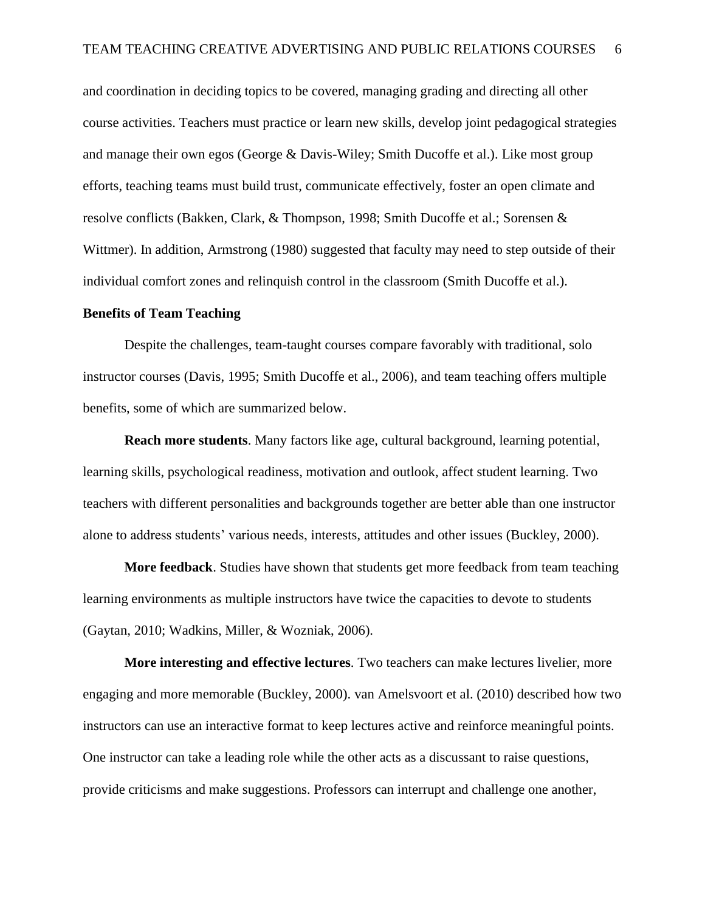and coordination in deciding topics to be covered, managing grading and directing all other course activities. Teachers must practice or learn new skills, develop joint pedagogical strategies and manage their own egos (George & Davis-Wiley; Smith Ducoffe et al.). Like most group efforts, teaching teams must build trust, communicate effectively, foster an open climate and resolve conflicts (Bakken, Clark, & Thompson, 1998; Smith Ducoffe et al.; Sorensen & Wittmer). In addition, Armstrong (1980) suggested that faculty may need to step outside of their individual comfort zones and relinquish control in the classroom (Smith Ducoffe et al.).

#### **Benefits of Team Teaching**

Despite the challenges, team-taught courses compare favorably with traditional, solo instructor courses (Davis, 1995; Smith Ducoffe et al., 2006), and team teaching offers multiple benefits, some of which are summarized below.

**Reach more students**. Many factors like age, cultural background, learning potential, learning skills, psychological readiness, motivation and outlook, affect student learning. Two teachers with different personalities and backgrounds together are better able than one instructor alone to address students' various needs, interests, attitudes and other issues (Buckley, 2000).

**More feedback**. Studies have shown that students get more feedback from team teaching learning environments as multiple instructors have twice the capacities to devote to students (Gaytan, 2010; Wadkins, Miller, & Wozniak, 2006).

**More interesting and effective lectures**. Two teachers can make lectures livelier, more engaging and more memorable (Buckley, 2000). van Amelsvoort et al. (2010) described how two instructors can use an interactive format to keep lectures active and reinforce meaningful points. One instructor can take a leading role while the other acts as a discussant to raise questions, provide criticisms and make suggestions. Professors can interrupt and challenge one another,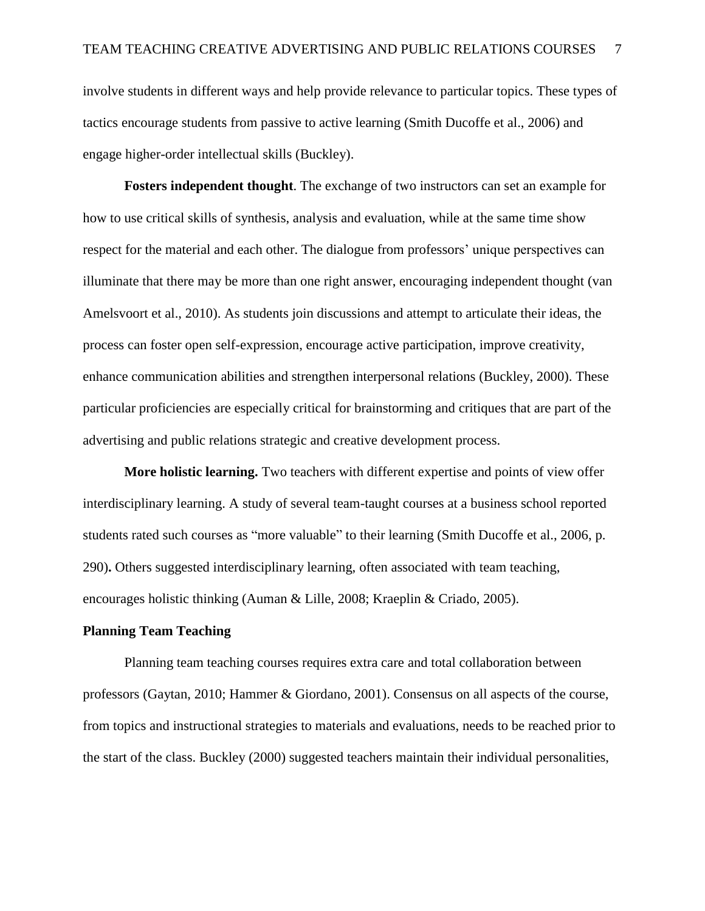involve students in different ways and help provide relevance to particular topics. These types of tactics encourage students from passive to active learning (Smith Ducoffe et al., 2006) and engage higher-order intellectual skills (Buckley).

**Fosters independent thought**. The exchange of two instructors can set an example for how to use critical skills of synthesis, analysis and evaluation, while at the same time show respect for the material and each other. The dialogue from professors' unique perspectives can illuminate that there may be more than one right answer, encouraging independent thought (van Amelsvoort et al., 2010). As students join discussions and attempt to articulate their ideas, the process can foster open self-expression, encourage active participation, improve creativity, enhance communication abilities and strengthen interpersonal relations (Buckley, 2000). These particular proficiencies are especially critical for brainstorming and critiques that are part of the advertising and public relations strategic and creative development process.

**More holistic learning.** Two teachers with different expertise and points of view offer interdisciplinary learning. A study of several team-taught courses at a business school reported students rated such courses as "more valuable" to their learning (Smith Ducoffe et al., 2006, p. 290)**.** Others suggested interdisciplinary learning, often associated with team teaching, encourages holistic thinking (Auman & Lille, 2008; Kraeplin & Criado, 2005).

## **Planning Team Teaching**

Planning team teaching courses requires extra care and total collaboration between professors (Gaytan, 2010; Hammer & Giordano, 2001). Consensus on all aspects of the course, from topics and instructional strategies to materials and evaluations, needs to be reached prior to the start of the class. Buckley (2000) suggested teachers maintain their individual personalities,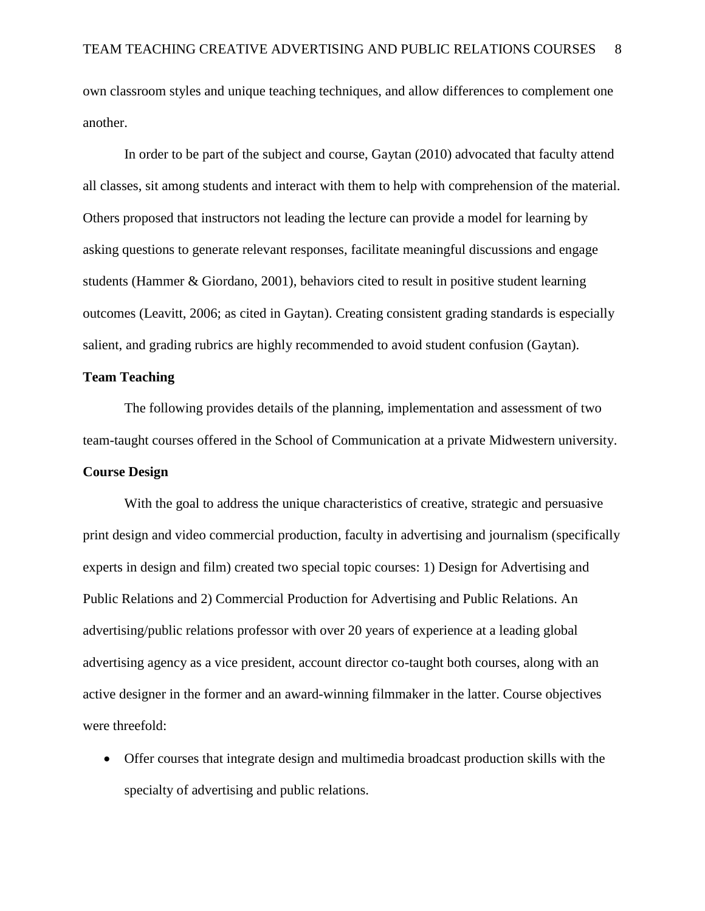own classroom styles and unique teaching techniques, and allow differences to complement one another.

In order to be part of the subject and course, Gaytan (2010) advocated that faculty attend all classes, sit among students and interact with them to help with comprehension of the material. Others proposed that instructors not leading the lecture can provide a model for learning by asking questions to generate relevant responses, facilitate meaningful discussions and engage students (Hammer & Giordano, 2001), behaviors cited to result in positive student learning outcomes (Leavitt, 2006; as cited in Gaytan). Creating consistent grading standards is especially salient, and grading rubrics are highly recommended to avoid student confusion (Gaytan).

## **Team Teaching**

The following provides details of the planning, implementation and assessment of two team-taught courses offered in the School of Communication at a private Midwestern university.

## **Course Design**

With the goal to address the unique characteristics of creative, strategic and persuasive print design and video commercial production, faculty in advertising and journalism (specifically experts in design and film) created two special topic courses: 1) Design for Advertising and Public Relations and 2) Commercial Production for Advertising and Public Relations. An advertising/public relations professor with over 20 years of experience at a leading global advertising agency as a vice president, account director co-taught both courses, along with an active designer in the former and an award-winning filmmaker in the latter. Course objectives were threefold:

 Offer courses that integrate design and multimedia broadcast production skills with the specialty of advertising and public relations.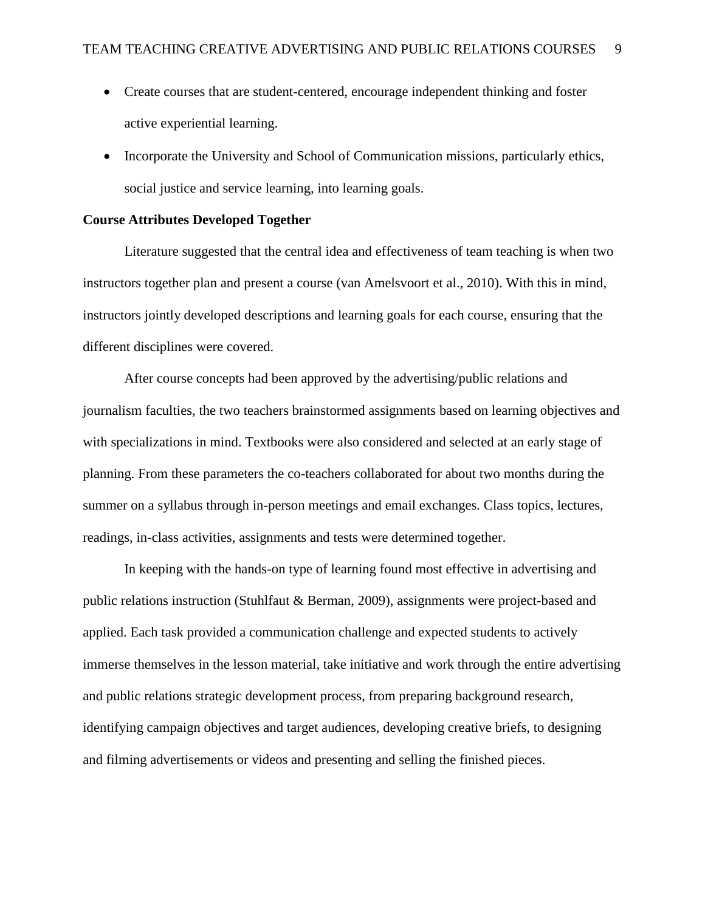- Create courses that are student-centered, encourage independent thinking and foster active experiential learning.
- Incorporate the University and School of Communication missions, particularly ethics, social justice and service learning, into learning goals.

## **Course Attributes Developed Together**

Literature suggested that the central idea and effectiveness of team teaching is when two instructors together plan and present a course (van Amelsvoort et al., 2010). With this in mind, instructors jointly developed descriptions and learning goals for each course, ensuring that the different disciplines were covered.

After course concepts had been approved by the advertising/public relations and journalism faculties, the two teachers brainstormed assignments based on learning objectives and with specializations in mind. Textbooks were also considered and selected at an early stage of planning. From these parameters the co-teachers collaborated for about two months during the summer on a syllabus through in-person meetings and email exchanges. Class topics, lectures, readings, in-class activities, assignments and tests were determined together.

In keeping with the hands-on type of learning found most effective in advertising and public relations instruction (Stuhlfaut & Berman, 2009), assignments were project-based and applied. Each task provided a communication challenge and expected students to actively immerse themselves in the lesson material, take initiative and work through the entire advertising and public relations strategic development process, from preparing background research, identifying campaign objectives and target audiences, developing creative briefs, to designing and filming advertisements or videos and presenting and selling the finished pieces.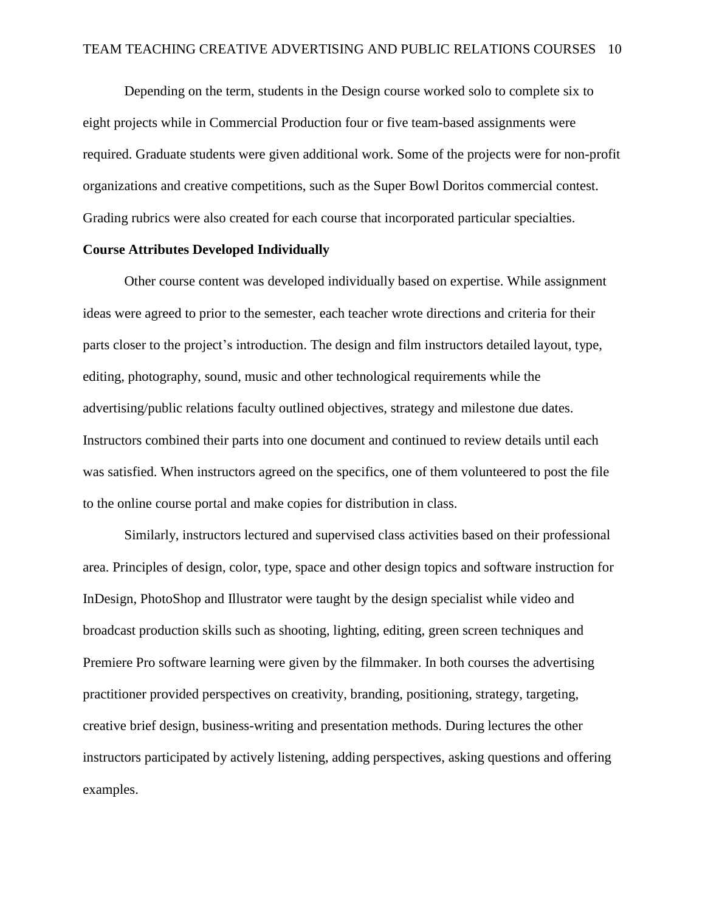Depending on the term, students in the Design course worked solo to complete six to eight projects while in Commercial Production four or five team-based assignments were required. Graduate students were given additional work. Some of the projects were for non-profit organizations and creative competitions, such as the Super Bowl Doritos commercial contest. Grading rubrics were also created for each course that incorporated particular specialties.

## **Course Attributes Developed Individually**

Other course content was developed individually based on expertise. While assignment ideas were agreed to prior to the semester, each teacher wrote directions and criteria for their parts closer to the project's introduction. The design and film instructors detailed layout, type, editing, photography, sound, music and other technological requirements while the advertising/public relations faculty outlined objectives, strategy and milestone due dates. Instructors combined their parts into one document and continued to review details until each was satisfied. When instructors agreed on the specifics, one of them volunteered to post the file to the online course portal and make copies for distribution in class.

Similarly, instructors lectured and supervised class activities based on their professional area. Principles of design, color, type, space and other design topics and software instruction for InDesign, PhotoShop and Illustrator were taught by the design specialist while video and broadcast production skills such as shooting, lighting, editing, green screen techniques and Premiere Pro software learning were given by the filmmaker. In both courses the advertising practitioner provided perspectives on creativity, branding, positioning, strategy, targeting, creative brief design, business-writing and presentation methods. During lectures the other instructors participated by actively listening, adding perspectives, asking questions and offering examples.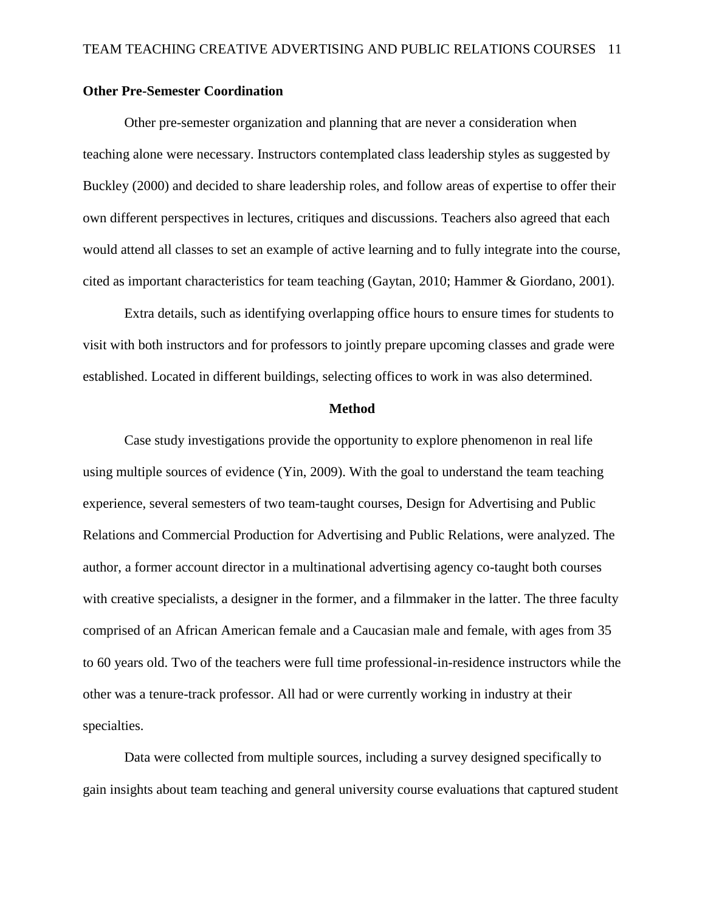## **Other Pre-Semester Coordination**

Other pre-semester organization and planning that are never a consideration when teaching alone were necessary. Instructors contemplated class leadership styles as suggested by Buckley (2000) and decided to share leadership roles, and follow areas of expertise to offer their own different perspectives in lectures, critiques and discussions. Teachers also agreed that each would attend all classes to set an example of active learning and to fully integrate into the course, cited as important characteristics for team teaching (Gaytan, 2010; Hammer & Giordano, 2001).

Extra details, such as identifying overlapping office hours to ensure times for students to visit with both instructors and for professors to jointly prepare upcoming classes and grade were established. Located in different buildings, selecting offices to work in was also determined.

#### **Method**

Case study investigations provide the opportunity to explore phenomenon in real life using multiple sources of evidence (Yin, 2009). With the goal to understand the team teaching experience, several semesters of two team-taught courses, Design for Advertising and Public Relations and Commercial Production for Advertising and Public Relations, were analyzed. The author, a former account director in a multinational advertising agency co-taught both courses with creative specialists, a designer in the former, and a filmmaker in the latter. The three faculty comprised of an African American female and a Caucasian male and female, with ages from 35 to 60 years old. Two of the teachers were full time professional-in-residence instructors while the other was a tenure-track professor. All had or were currently working in industry at their specialties.

Data were collected from multiple sources, including a survey designed specifically to gain insights about team teaching and general university course evaluations that captured student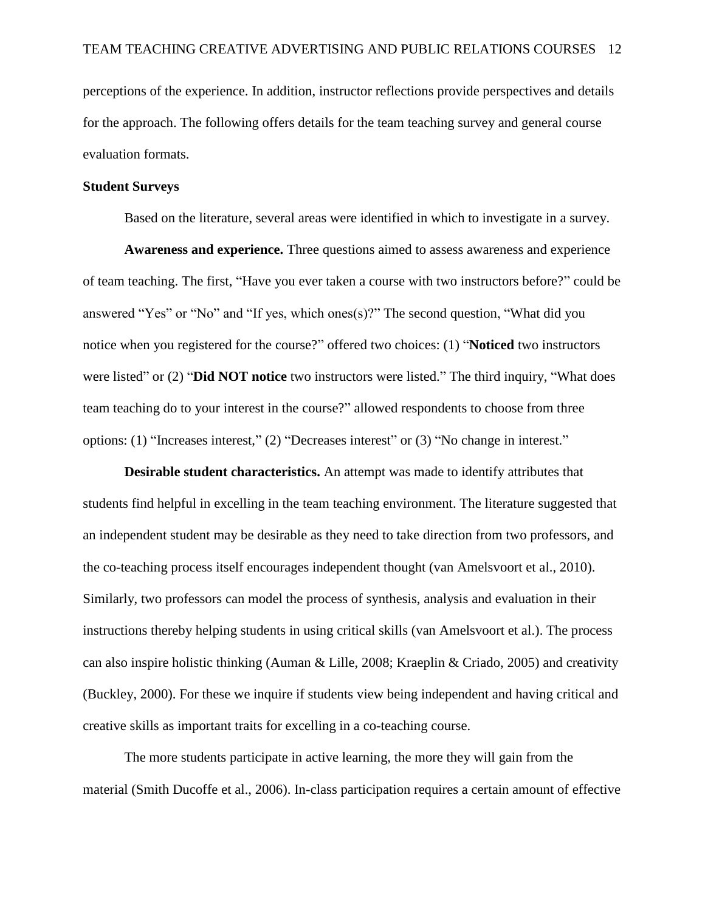perceptions of the experience. In addition, instructor reflections provide perspectives and details for the approach. The following offers details for the team teaching survey and general course evaluation formats.

## **Student Surveys**

Based on the literature, several areas were identified in which to investigate in a survey.

**Awareness and experience.** Three questions aimed to assess awareness and experience of team teaching. The first, "Have you ever taken a course with two instructors before?" could be answered "Yes" or "No" and "If yes, which ones(s)?" The second question, "What did you notice when you registered for the course?" offered two choices: (1) "**Noticed** two instructors were listed" or (2) "**Did NOT notice** two instructors were listed." The third inquiry, "What does team teaching do to your interest in the course?" allowed respondents to choose from three options: (1) "Increases interest," (2) "Decreases interest" or (3) "No change in interest."

**Desirable student characteristics.** An attempt was made to identify attributes that students find helpful in excelling in the team teaching environment. The literature suggested that an independent student may be desirable as they need to take direction from two professors, and the co-teaching process itself encourages independent thought (van Amelsvoort et al., 2010). Similarly, two professors can model the process of synthesis, analysis and evaluation in their instructions thereby helping students in using critical skills (van Amelsvoort et al.). The process can also inspire holistic thinking (Auman & Lille, 2008; Kraeplin & Criado, 2005) and creativity (Buckley, 2000). For these we inquire if students view being independent and having critical and creative skills as important traits for excelling in a co-teaching course.

The more students participate in active learning, the more they will gain from the material (Smith Ducoffe et al., 2006). In-class participation requires a certain amount of effective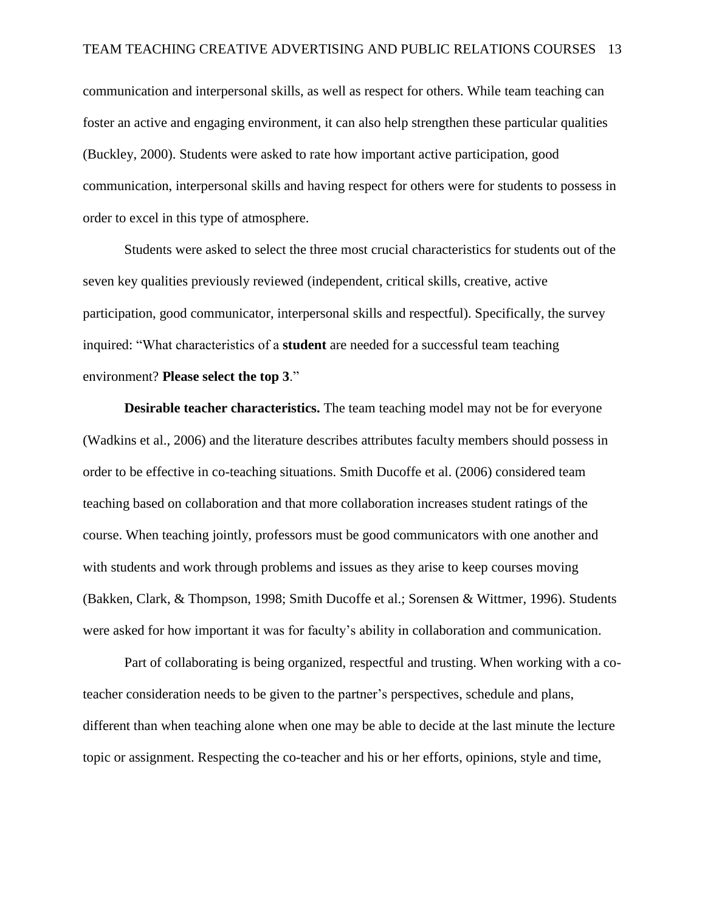communication and interpersonal skills, as well as respect for others. While team teaching can foster an active and engaging environment, it can also help strengthen these particular qualities (Buckley, 2000). Students were asked to rate how important active participation, good communication, interpersonal skills and having respect for others were for students to possess in order to excel in this type of atmosphere.

Students were asked to select the three most crucial characteristics for students out of the seven key qualities previously reviewed (independent, critical skills, creative, active participation, good communicator, interpersonal skills and respectful). Specifically, the survey inquired: "What characteristics of a **student** are needed for a successful team teaching environment? **Please select the top 3**."

**Desirable teacher characteristics.** The team teaching model may not be for everyone (Wadkins et al., 2006) and the literature describes attributes faculty members should possess in order to be effective in co-teaching situations. Smith Ducoffe et al. (2006) considered team teaching based on collaboration and that more collaboration increases student ratings of the course. When teaching jointly, professors must be good communicators with one another and with students and work through problems and issues as they arise to keep courses moving (Bakken, Clark, & Thompson, 1998; Smith Ducoffe et al.; Sorensen & Wittmer, 1996). Students were asked for how important it was for faculty's ability in collaboration and communication.

Part of collaborating is being organized, respectful and trusting. When working with a coteacher consideration needs to be given to the partner's perspectives, schedule and plans, different than when teaching alone when one may be able to decide at the last minute the lecture topic or assignment. Respecting the co-teacher and his or her efforts, opinions, style and time,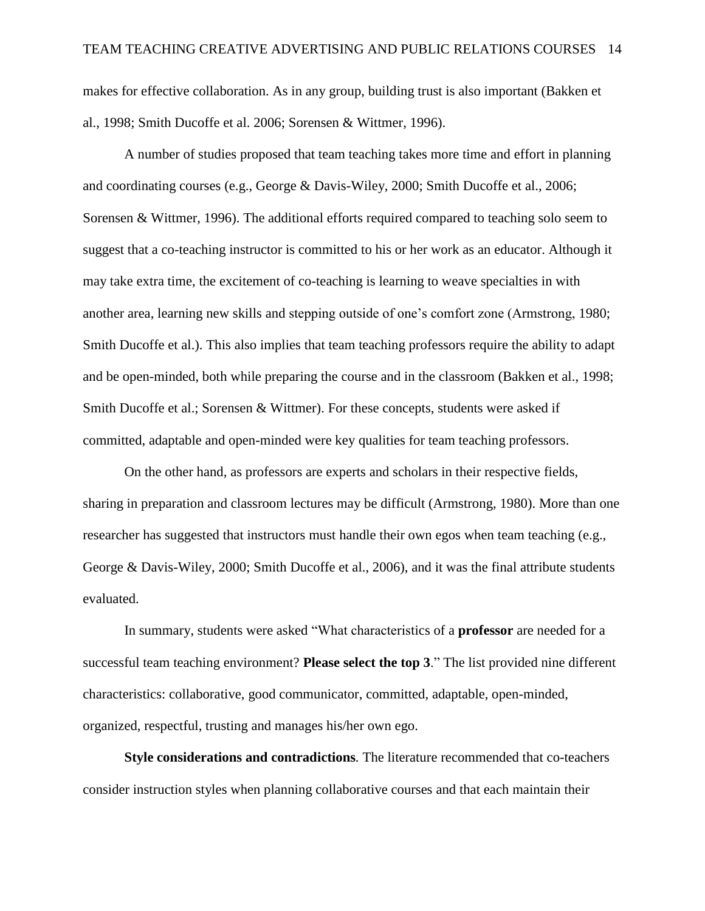makes for effective collaboration. As in any group, building trust is also important (Bakken et al., 1998; Smith Ducoffe et al. 2006; Sorensen & Wittmer, 1996).

A number of studies proposed that team teaching takes more time and effort in planning and coordinating courses (e.g., George & Davis-Wiley, 2000; Smith Ducoffe et al., 2006; Sorensen & Wittmer, 1996). The additional efforts required compared to teaching solo seem to suggest that a co-teaching instructor is committed to his or her work as an educator. Although it may take extra time, the excitement of co-teaching is learning to weave specialties in with another area, learning new skills and stepping outside of one's comfort zone (Armstrong, 1980; Smith Ducoffe et al.). This also implies that team teaching professors require the ability to adapt and be open-minded, both while preparing the course and in the classroom (Bakken et al., 1998; Smith Ducoffe et al.; Sorensen & Wittmer). For these concepts, students were asked if committed, adaptable and open-minded were key qualities for team teaching professors.

On the other hand, as professors are experts and scholars in their respective fields, sharing in preparation and classroom lectures may be difficult (Armstrong, 1980). More than one researcher has suggested that instructors must handle their own egos when team teaching (e.g., George & Davis-Wiley, 2000; Smith Ducoffe et al., 2006), and it was the final attribute students evaluated.

In summary, students were asked "What characteristics of a **professor** are needed for a successful team teaching environment? **Please select the top 3**." The list provided nine different characteristics: collaborative, good communicator, committed, adaptable, open-minded, organized, respectful, trusting and manages his/her own ego.

**Style considerations and contradictions***.* The literature recommended that co-teachers consider instruction styles when planning collaborative courses and that each maintain their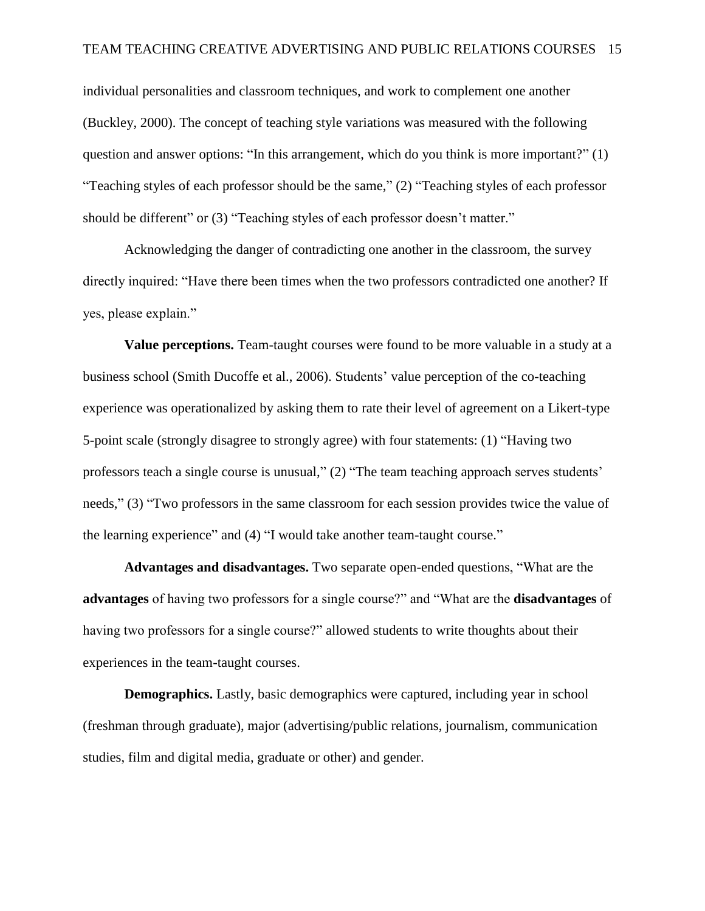individual personalities and classroom techniques, and work to complement one another (Buckley, 2000). The concept of teaching style variations was measured with the following question and answer options: "In this arrangement, which do you think is more important?" (1) "Teaching styles of each professor should be the same," (2) "Teaching styles of each professor should be different" or (3) "Teaching styles of each professor doesn't matter."

Acknowledging the danger of contradicting one another in the classroom, the survey directly inquired: "Have there been times when the two professors contradicted one another? If yes, please explain."

**Value perceptions.** Team-taught courses were found to be more valuable in a study at a business school (Smith Ducoffe et al., 2006). Students' value perception of the co-teaching experience was operationalized by asking them to rate their level of agreement on a Likert-type 5-point scale (strongly disagree to strongly agree) with four statements: (1) "Having two professors teach a single course is unusual," (2) "The team teaching approach serves students' needs," (3) "Two professors in the same classroom for each session provides twice the value of the learning experience" and (4) "I would take another team-taught course."

**Advantages and disadvantages.** Two separate open-ended questions, "What are the **advantages** of having two professors for a single course?" and "What are the **disadvantages** of having two professors for a single course?" allowed students to write thoughts about their experiences in the team-taught courses.

**Demographics.** Lastly, basic demographics were captured, including year in school (freshman through graduate), major (advertising/public relations, journalism, communication studies, film and digital media, graduate or other) and gender.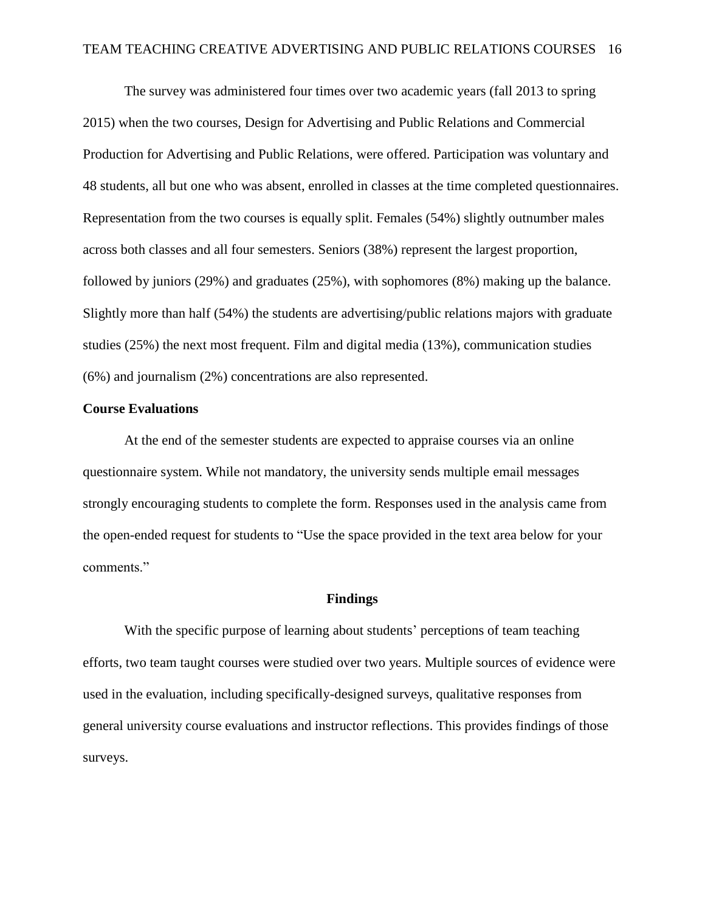The survey was administered four times over two academic years (fall 2013 to spring 2015) when the two courses, Design for Advertising and Public Relations and Commercial Production for Advertising and Public Relations, were offered. Participation was voluntary and 48 students, all but one who was absent, enrolled in classes at the time completed questionnaires. Representation from the two courses is equally split. Females (54%) slightly outnumber males across both classes and all four semesters. Seniors (38%) represent the largest proportion, followed by juniors (29%) and graduates (25%), with sophomores (8%) making up the balance. Slightly more than half (54%) the students are advertising/public relations majors with graduate studies (25%) the next most frequent. Film and digital media (13%), communication studies (6%) and journalism (2%) concentrations are also represented.

#### **Course Evaluations**

At the end of the semester students are expected to appraise courses via an online questionnaire system. While not mandatory, the university sends multiple email messages strongly encouraging students to complete the form. Responses used in the analysis came from the open-ended request for students to "Use the space provided in the text area below for your comments."

## **Findings**

With the specific purpose of learning about students' perceptions of team teaching efforts, two team taught courses were studied over two years. Multiple sources of evidence were used in the evaluation, including specifically-designed surveys, qualitative responses from general university course evaluations and instructor reflections. This provides findings of those surveys.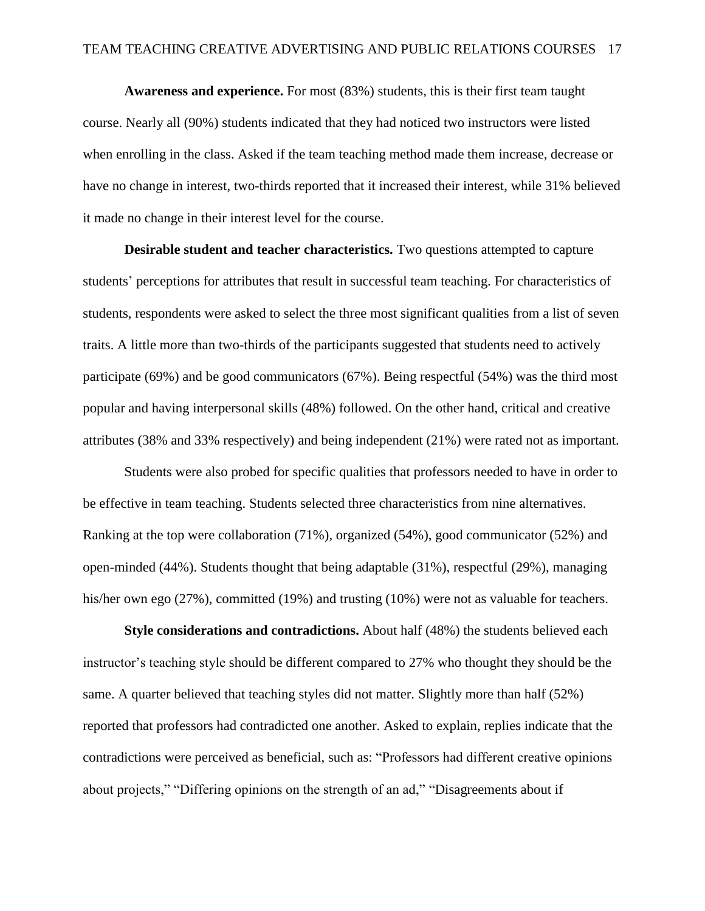**Awareness and experience.** For most (83%) students, this is their first team taught course. Nearly all (90%) students indicated that they had noticed two instructors were listed when enrolling in the class. Asked if the team teaching method made them increase, decrease or have no change in interest, two-thirds reported that it increased their interest, while 31% believed it made no change in their interest level for the course.

**Desirable student and teacher characteristics.** Two questions attempted to capture students' perceptions for attributes that result in successful team teaching. For characteristics of students, respondents were asked to select the three most significant qualities from a list of seven traits. A little more than two-thirds of the participants suggested that students need to actively participate (69%) and be good communicators (67%). Being respectful (54%) was the third most popular and having interpersonal skills (48%) followed. On the other hand, critical and creative attributes (38% and 33% respectively) and being independent (21%) were rated not as important.

Students were also probed for specific qualities that professors needed to have in order to be effective in team teaching. Students selected three characteristics from nine alternatives. Ranking at the top were collaboration (71%), organized (54%), good communicator (52%) and open-minded (44%). Students thought that being adaptable (31%), respectful (29%), managing his/her own ego (27%), committed (19%) and trusting (10%) were not as valuable for teachers.

**Style considerations and contradictions.** About half (48%) the students believed each instructor's teaching style should be different compared to 27% who thought they should be the same. A quarter believed that teaching styles did not matter. Slightly more than half (52%) reported that professors had contradicted one another. Asked to explain, replies indicate that the contradictions were perceived as beneficial, such as: "Professors had different creative opinions about projects," "Differing opinions on the strength of an ad," "Disagreements about if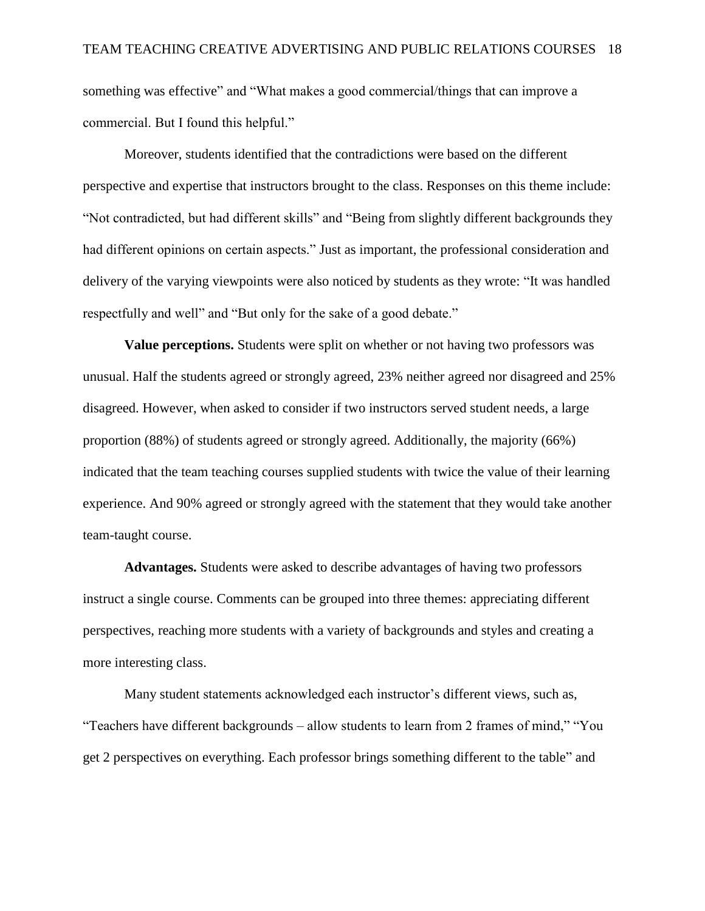something was effective" and "What makes a good commercial/things that can improve a commercial. But I found this helpful."

Moreover, students identified that the contradictions were based on the different perspective and expertise that instructors brought to the class. Responses on this theme include: "Not contradicted, but had different skills" and "Being from slightly different backgrounds they had different opinions on certain aspects." Just as important, the professional consideration and delivery of the varying viewpoints were also noticed by students as they wrote: "It was handled respectfully and well" and "But only for the sake of a good debate."

**Value perceptions.** Students were split on whether or not having two professors was unusual. Half the students agreed or strongly agreed, 23% neither agreed nor disagreed and 25% disagreed. However, when asked to consider if two instructors served student needs, a large proportion (88%) of students agreed or strongly agreed. Additionally, the majority (66%) indicated that the team teaching courses supplied students with twice the value of their learning experience. And 90% agreed or strongly agreed with the statement that they would take another team-taught course.

**Advantages.** Students were asked to describe advantages of having two professors instruct a single course. Comments can be grouped into three themes: appreciating different perspectives, reaching more students with a variety of backgrounds and styles and creating a more interesting class.

Many student statements acknowledged each instructor's different views, such as, "Teachers have different backgrounds – allow students to learn from 2 frames of mind," "You get 2 perspectives on everything. Each professor brings something different to the table" and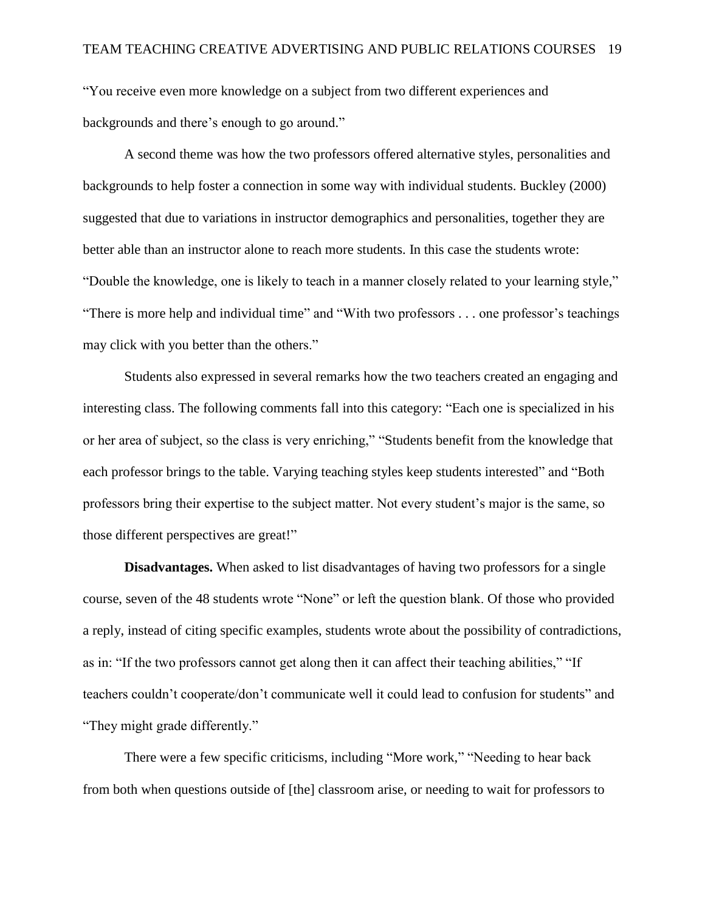"You receive even more knowledge on a subject from two different experiences and backgrounds and there's enough to go around."

A second theme was how the two professors offered alternative styles, personalities and backgrounds to help foster a connection in some way with individual students. Buckley (2000) suggested that due to variations in instructor demographics and personalities, together they are better able than an instructor alone to reach more students. In this case the students wrote: "Double the knowledge, one is likely to teach in a manner closely related to your learning style," "There is more help and individual time" and "With two professors . . . one professor's teachings may click with you better than the others."

Students also expressed in several remarks how the two teachers created an engaging and interesting class. The following comments fall into this category: "Each one is specialized in his or her area of subject, so the class is very enriching," "Students benefit from the knowledge that each professor brings to the table. Varying teaching styles keep students interested" and "Both professors bring their expertise to the subject matter. Not every student's major is the same, so those different perspectives are great!"

**Disadvantages.** When asked to list disadvantages of having two professors for a single course, seven of the 48 students wrote "None" or left the question blank. Of those who provided a reply, instead of citing specific examples, students wrote about the possibility of contradictions, as in: "If the two professors cannot get along then it can affect their teaching abilities," "If teachers couldn't cooperate/don't communicate well it could lead to confusion for students" and "They might grade differently."

There were a few specific criticisms, including "More work," "Needing to hear back from both when questions outside of [the] classroom arise, or needing to wait for professors to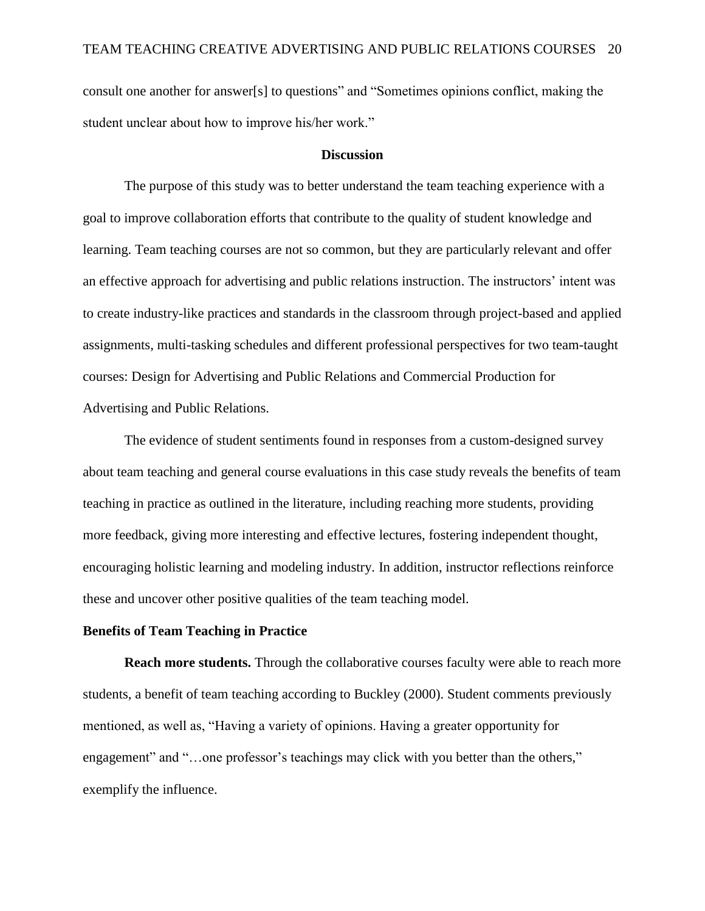consult one another for answer[s] to questions" and "Sometimes opinions conflict, making the student unclear about how to improve his/her work."

#### **Discussion**

The purpose of this study was to better understand the team teaching experience with a goal to improve collaboration efforts that contribute to the quality of student knowledge and learning. Team teaching courses are not so common, but they are particularly relevant and offer an effective approach for advertising and public relations instruction. The instructors' intent was to create industry-like practices and standards in the classroom through project-based and applied assignments, multi-tasking schedules and different professional perspectives for two team-taught courses: Design for Advertising and Public Relations and Commercial Production for Advertising and Public Relations.

The evidence of student sentiments found in responses from a custom-designed survey about team teaching and general course evaluations in this case study reveals the benefits of team teaching in practice as outlined in the literature, including reaching more students, providing more feedback, giving more interesting and effective lectures, fostering independent thought, encouraging holistic learning and modeling industry. In addition, instructor reflections reinforce these and uncover other positive qualities of the team teaching model.

## **Benefits of Team Teaching in Practice**

**Reach more students.** Through the collaborative courses faculty were able to reach more students, a benefit of team teaching according to Buckley (2000). Student comments previously mentioned, as well as, "Having a variety of opinions. Having a greater opportunity for engagement" and "...one professor's teachings may click with you better than the others," exemplify the influence.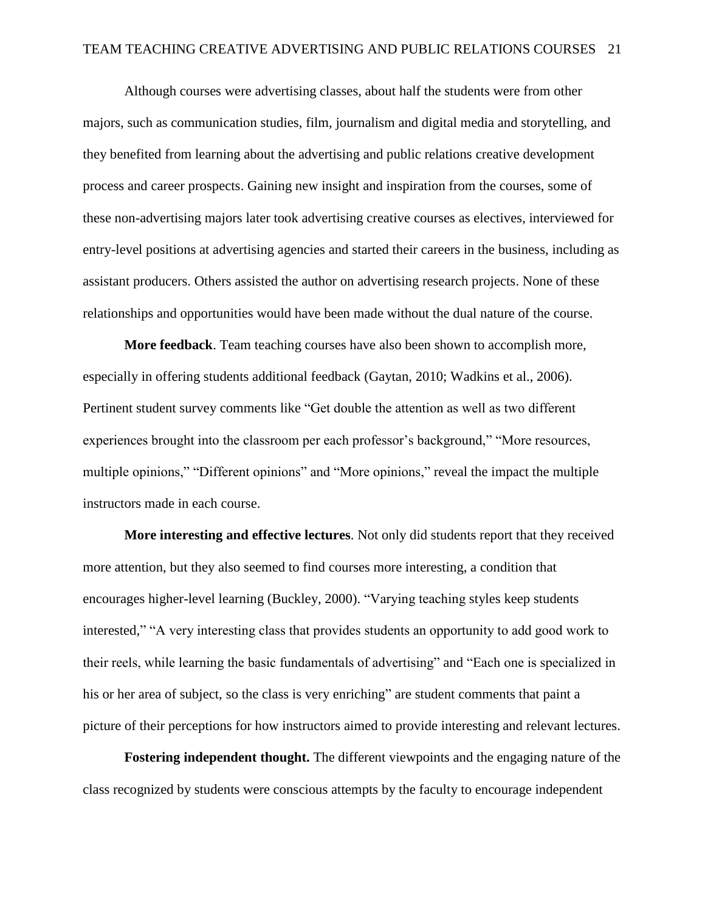Although courses were advertising classes, about half the students were from other majors, such as communication studies, film, journalism and digital media and storytelling, and they benefited from learning about the advertising and public relations creative development process and career prospects. Gaining new insight and inspiration from the courses, some of these non-advertising majors later took advertising creative courses as electives, interviewed for entry-level positions at advertising agencies and started their careers in the business, including as assistant producers. Others assisted the author on advertising research projects. None of these relationships and opportunities would have been made without the dual nature of the course.

**More feedback**. Team teaching courses have also been shown to accomplish more, especially in offering students additional feedback (Gaytan, 2010; Wadkins et al., 2006). Pertinent student survey comments like "Get double the attention as well as two different experiences brought into the classroom per each professor's background," "More resources, multiple opinions," "Different opinions" and "More opinions," reveal the impact the multiple instructors made in each course.

**More interesting and effective lectures**. Not only did students report that they received more attention, but they also seemed to find courses more interesting, a condition that encourages higher-level learning (Buckley, 2000). "Varying teaching styles keep students interested," "A very interesting class that provides students an opportunity to add good work to their reels, while learning the basic fundamentals of advertising" and "Each one is specialized in his or her area of subject, so the class is very enriching" are student comments that paint a picture of their perceptions for how instructors aimed to provide interesting and relevant lectures.

**Fostering independent thought.** The different viewpoints and the engaging nature of the class recognized by students were conscious attempts by the faculty to encourage independent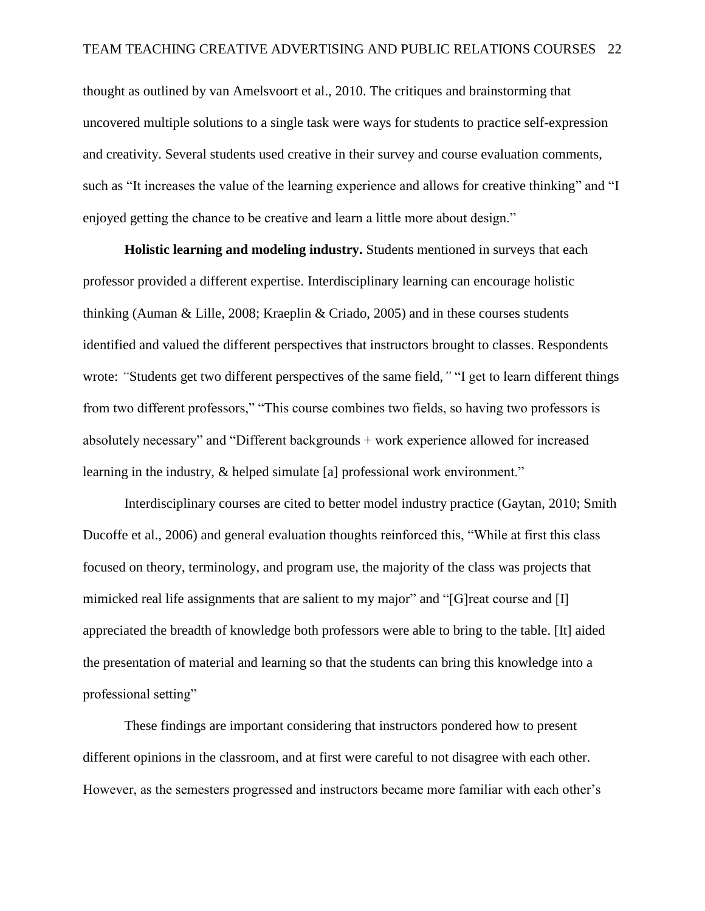thought as outlined by van Amelsvoort et al., 2010. The critiques and brainstorming that uncovered multiple solutions to a single task were ways for students to practice self-expression and creativity. Several students used creative in their survey and course evaluation comments, such as "It increases the value of the learning experience and allows for creative thinking" and "I enjoyed getting the chance to be creative and learn a little more about design."

**Holistic learning and modeling industry.** Students mentioned in surveys that each professor provided a different expertise. Interdisciplinary learning can encourage holistic thinking (Auman & Lille, 2008; Kraeplin & Criado, 2005) and in these courses students identified and valued the different perspectives that instructors brought to classes. Respondents wrote: *"*Students get two different perspectives of the same field,*"* "I get to learn different things from two different professors," "This course combines two fields, so having two professors is absolutely necessary" and "Different backgrounds + work experience allowed for increased learning in the industry, & helped simulate [a] professional work environment."

Interdisciplinary courses are cited to better model industry practice (Gaytan, 2010; Smith Ducoffe et al., 2006) and general evaluation thoughts reinforced this, "While at first this class focused on theory, terminology, and program use, the majority of the class was projects that mimicked real life assignments that are salient to my major" and "[G]reat course and [I] appreciated the breadth of knowledge both professors were able to bring to the table. [It] aided the presentation of material and learning so that the students can bring this knowledge into a professional setting"

These findings are important considering that instructors pondered how to present different opinions in the classroom, and at first were careful to not disagree with each other. However, as the semesters progressed and instructors became more familiar with each other's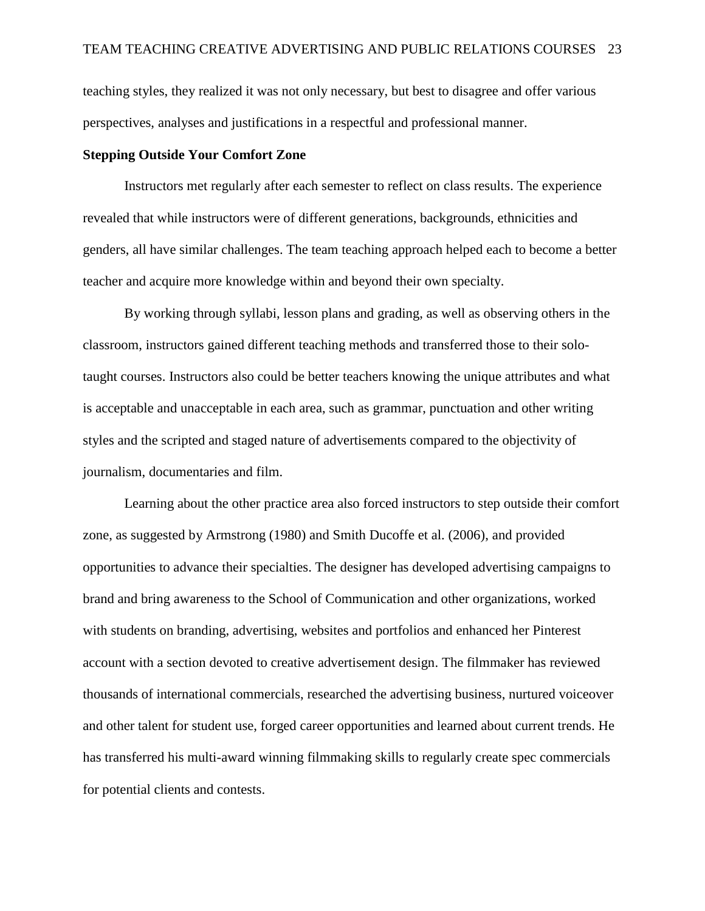teaching styles, they realized it was not only necessary, but best to disagree and offer various perspectives, analyses and justifications in a respectful and professional manner.

## **Stepping Outside Your Comfort Zone**

Instructors met regularly after each semester to reflect on class results. The experience revealed that while instructors were of different generations, backgrounds, ethnicities and genders, all have similar challenges. The team teaching approach helped each to become a better teacher and acquire more knowledge within and beyond their own specialty.

By working through syllabi, lesson plans and grading, as well as observing others in the classroom, instructors gained different teaching methods and transferred those to their solotaught courses. Instructors also could be better teachers knowing the unique attributes and what is acceptable and unacceptable in each area, such as grammar, punctuation and other writing styles and the scripted and staged nature of advertisements compared to the objectivity of journalism, documentaries and film.

Learning about the other practice area also forced instructors to step outside their comfort zone, as suggested by Armstrong (1980) and Smith Ducoffe et al. (2006), and provided opportunities to advance their specialties. The designer has developed advertising campaigns to brand and bring awareness to the School of Communication and other organizations, worked with students on branding, advertising, websites and portfolios and enhanced her Pinterest account with a section devoted to creative advertisement design. The filmmaker has reviewed thousands of international commercials, researched the advertising business, nurtured voiceover and other talent for student use, forged career opportunities and learned about current trends. He has transferred his multi-award winning filmmaking skills to regularly create spec commercials for potential clients and contests.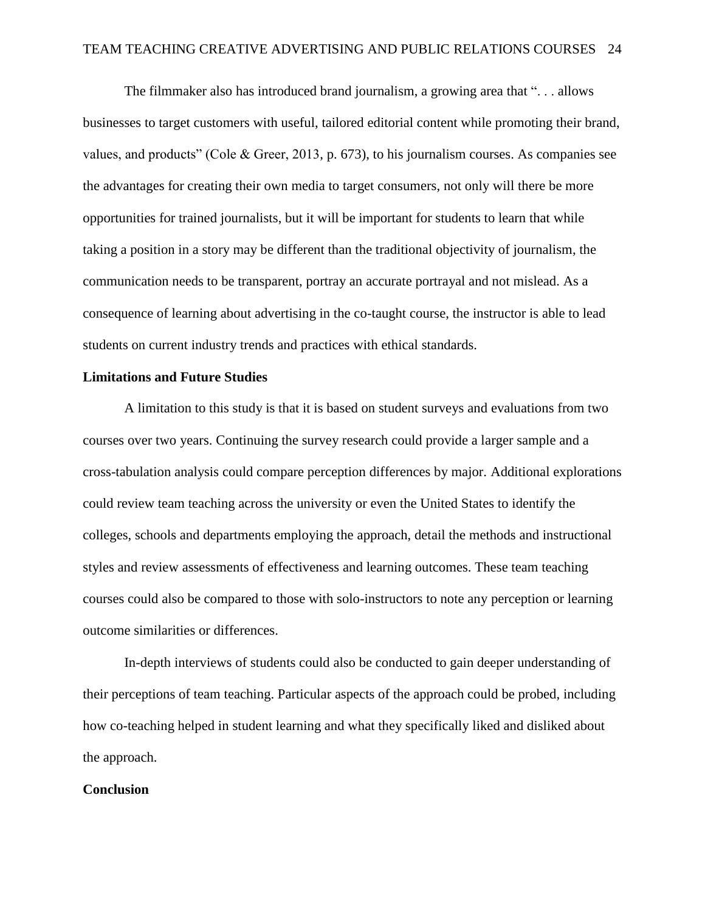The filmmaker also has introduced brand journalism, a growing area that ". . . allows businesses to target customers with useful, tailored editorial content while promoting their brand, values, and products" (Cole & Greer, 2013, p. 673), to his journalism courses. As companies see the advantages for creating their own media to target consumers, not only will there be more opportunities for trained journalists, but it will be important for students to learn that while taking a position in a story may be different than the traditional objectivity of journalism, the communication needs to be transparent, portray an accurate portrayal and not mislead. As a consequence of learning about advertising in the co-taught course, the instructor is able to lead students on current industry trends and practices with ethical standards.

## **Limitations and Future Studies**

A limitation to this study is that it is based on student surveys and evaluations from two courses over two years. Continuing the survey research could provide a larger sample and a cross-tabulation analysis could compare perception differences by major. Additional explorations could review team teaching across the university or even the United States to identify the colleges, schools and departments employing the approach, detail the methods and instructional styles and review assessments of effectiveness and learning outcomes. These team teaching courses could also be compared to those with solo-instructors to note any perception or learning outcome similarities or differences.

In-depth interviews of students could also be conducted to gain deeper understanding of their perceptions of team teaching. Particular aspects of the approach could be probed, including how co-teaching helped in student learning and what they specifically liked and disliked about the approach.

## **Conclusion**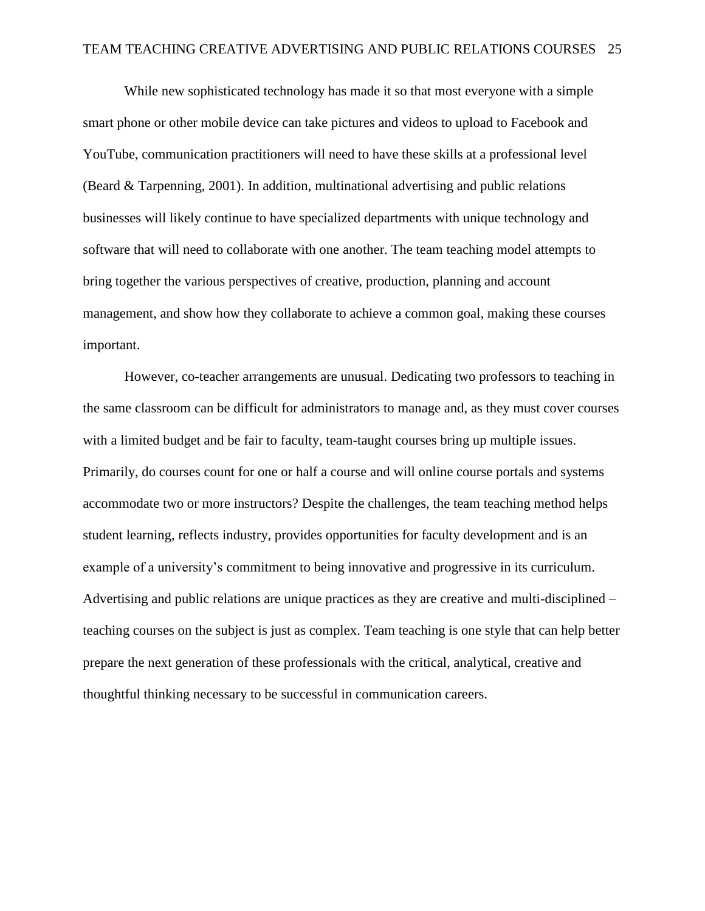While new sophisticated technology has made it so that most everyone with a simple smart phone or other mobile device can take pictures and videos to upload to Facebook and YouTube, communication practitioners will need to have these skills at a professional level (Beard & Tarpenning, 2001). In addition, multinational advertising and public relations businesses will likely continue to have specialized departments with unique technology and software that will need to collaborate with one another. The team teaching model attempts to bring together the various perspectives of creative, production, planning and account management, and show how they collaborate to achieve a common goal, making these courses important.

However, co-teacher arrangements are unusual. Dedicating two professors to teaching in the same classroom can be difficult for administrators to manage and, as they must cover courses with a limited budget and be fair to faculty, team-taught courses bring up multiple issues. Primarily, do courses count for one or half a course and will online course portals and systems accommodate two or more instructors? Despite the challenges, the team teaching method helps student learning, reflects industry, provides opportunities for faculty development and is an example of a university's commitment to being innovative and progressive in its curriculum. Advertising and public relations are unique practices as they are creative and multi-disciplined – teaching courses on the subject is just as complex. Team teaching is one style that can help better prepare the next generation of these professionals with the critical, analytical, creative and thoughtful thinking necessary to be successful in communication careers.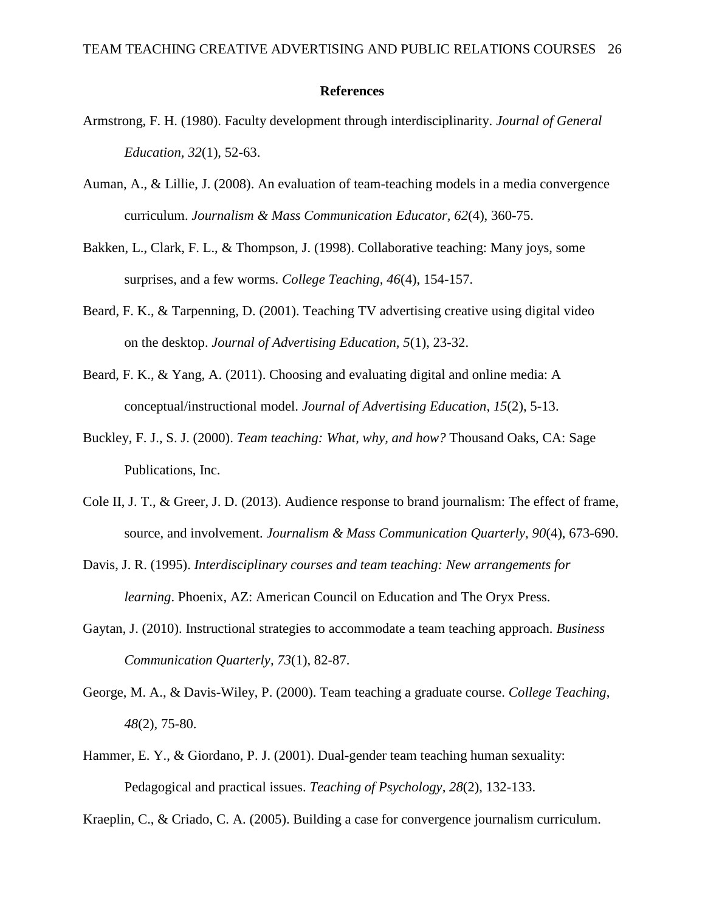## **References**

- Armstrong, F. H. (1980). Faculty development through interdisciplinarity. *Journal of General Education, 32*(1), 52-63.
- Auman, A., & Lillie, J. (2008). An evaluation of team-teaching models in a media convergence curriculum. *Journalism & Mass Communication Educator, 62*(4), 360-75.
- Bakken, L., Clark, F. L., & Thompson, J. (1998). Collaborative teaching: Many joys, some surprises, and a few worms. *College Teaching, 46*(4), 154-157.
- Beard, F. K., & Tarpenning, D. (2001). Teaching TV advertising creative using digital video on the desktop. *Journal of Advertising Education, 5*(1), 23-32.
- Beard, F. K., & Yang, A. (2011). Choosing and evaluating digital and online media: A conceptual/instructional model. *Journal of Advertising Education, 15*(2), 5-13.
- Buckley, F. J., S. J. (2000). *Team teaching: What, why, and how?* Thousand Oaks, CA: Sage Publications, Inc.
- Cole II, J. T., & Greer, J. D. (2013). Audience response to brand journalism: The effect of frame, source, and involvement. *Journalism & Mass Communication Quarterly, 90*(4), 673-690.
- Davis, J. R. (1995). *Interdisciplinary courses and team teaching: New arrangements for learning*. Phoenix, AZ: American Council on Education and The Oryx Press.
- Gaytan, J. (2010). Instructional strategies to accommodate a team teaching approach. *Business Communication Quarterly, 73*(1), 82-87.
- George, M. A., & Davis-Wiley, P. (2000). Team teaching a graduate course. *College Teaching*, *48*(2), 75-80.
- Hammer, E. Y., & Giordano, P. J. (2001). Dual-gender team teaching human sexuality: Pedagogical and practical issues. *Teaching of Psychology, 28*(2), 132-133.

Kraeplin, C., & Criado, C. A. (2005). Building a case for convergence journalism curriculum.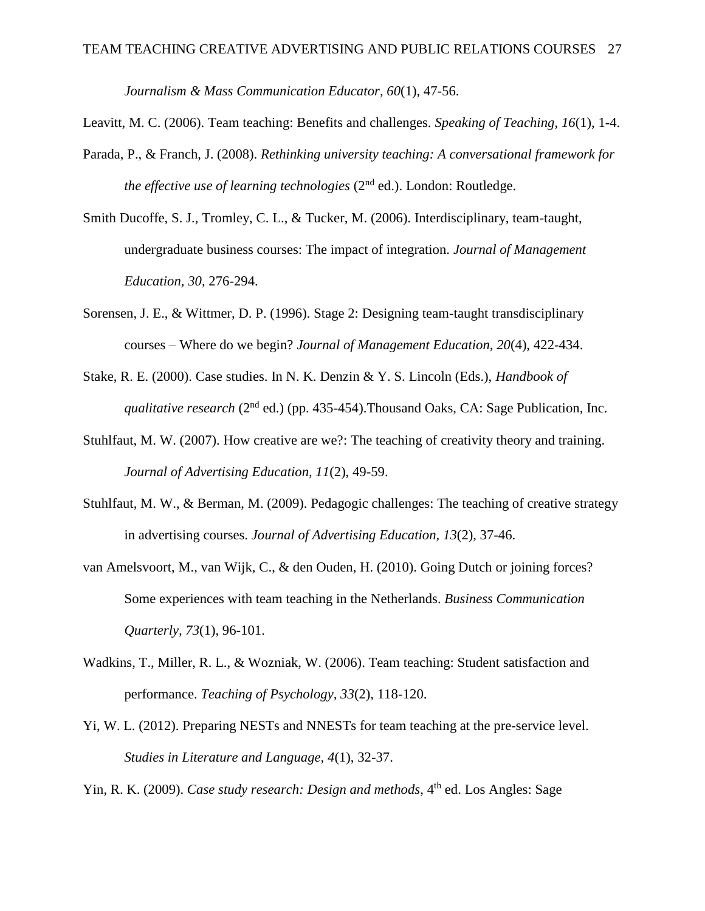*Journalism & Mass Communication Educator, 60*(1), 47-56.

Leavitt, M. C. (2006). Team teaching: Benefits and challenges. *Speaking of Teaching*, *16*(1), 1-4.

- Parada, P., & Franch, J. (2008). *Rethinking university teaching: A conversational framework for the effective use of learning technologies* (2<sup>nd</sup> ed.). London: Routledge.
- Smith Ducoffe, S. J., Tromley, C. L., & Tucker, M. (2006). Interdisciplinary, team-taught, undergraduate business courses: The impact of integration. *Journal of Management Education, 30*, 276-294.
- Sorensen, J. E., & Wittmer, D. P. (1996). Stage 2: Designing team-taught transdisciplinary courses – Where do we begin? *Journal of Management Education, 20*(4), 422-434.
- Stake, R. E. (2000). Case studies. In N. K. Denzin & Y. S. Lincoln (Eds.), *Handbook of*  qualitative research (2<sup>nd</sup> ed.) (pp. 435-454).Thousand Oaks, CA: Sage Publication, Inc.
- Stuhlfaut, M. W. (2007). How creative are we?: The teaching of creativity theory and training. *Journal of Advertising Education, 11*(2), 49-59.
- Stuhlfaut, M. W., & Berman, M. (2009). Pedagogic challenges: The teaching of creative strategy in advertising courses. *Journal of Advertising Education, 13*(2), 37-46.
- van Amelsvoort, M., van Wijk, C., & den Ouden, H. (2010). Going Dutch or joining forces? Some experiences with team teaching in the Netherlands. *Business Communication Quarterly, 73*(1), 96-101.
- Wadkins, T., Miller, R. L., & Wozniak, W. (2006). Team teaching: Student satisfaction and performance. *Teaching of Psychology, 33*(2), 118-120.
- Yi, W. L. (2012). Preparing NESTs and NNESTs for team teaching at the pre-service level. *Studies in Literature and Language, 4*(1), 32-37.

Yin, R. K. (2009). *Case study research: Design and methods*, 4<sup>th</sup> ed. Los Angles: Sage